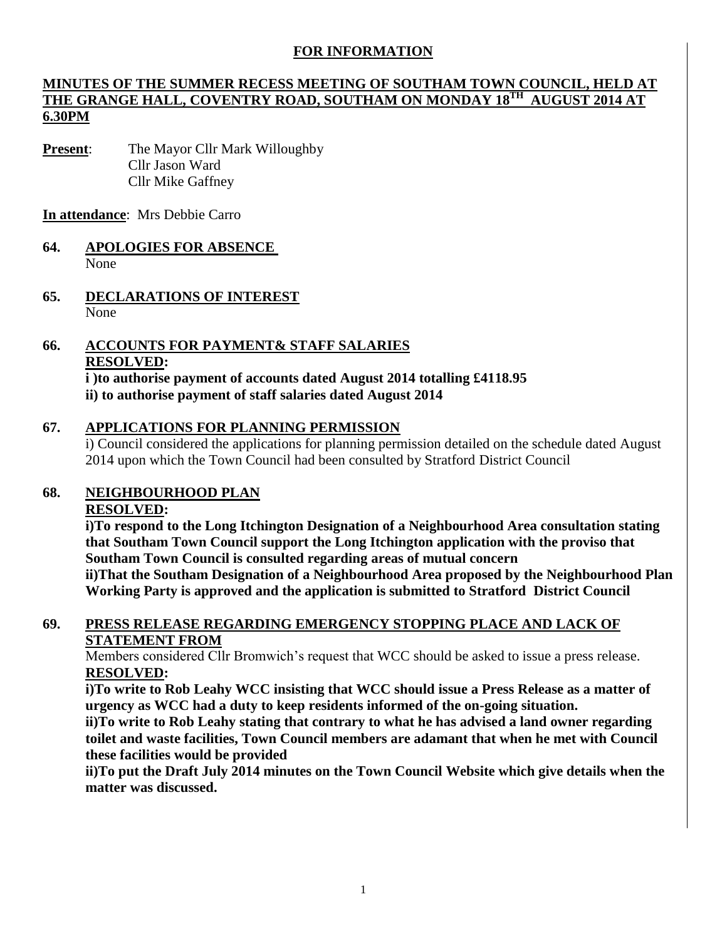# **FOR INFORMATION**

## **MINUTES OF THE SUMMER RECESS MEETING OF SOUTHAM TOWN COUNCIL, HELD AT THE GRANGE HALL, COVENTRY ROAD, SOUTHAM ON MONDAY 18TH AUGUST 2014 AT 6.30PM**

**Present**: The Mayor Cllr Mark Willoughby Cllr Jason Ward Cllr Mike Gaffney

**In attendance**: Mrs Debbie Carro

### **64. APOLOGIES FOR ABSENCE**  None

**65. DECLARATIONS OF INTEREST** None

#### **66. ACCOUNTS FOR PAYMENT& STAFF SALARIES RESOLVED: i )to authorise payment of accounts dated August 2014 totalling £4118.95 ii) to authorise payment of staff salaries dated August 2014**

## **67. APPLICATIONS FOR PLANNING PERMISSION**

i) Council considered the applications for planning permission detailed on the schedule dated August 2014 upon which the Town Council had been consulted by Stratford District Council

#### **68. NEIGHBOURHOOD PLAN**

### **RESOLVED:**

**i)To respond to the Long Itchington Designation of a Neighbourhood Area consultation stating that Southam Town Council support the Long Itchington application with the proviso that Southam Town Council is consulted regarding areas of mutual concern ii)That the Southam Designation of a Neighbourhood Area proposed by the Neighbourhood Plan Working Party is approved and the application is submitted to Stratford District Council**

## **69. PRESS RELEASE REGARDING EMERGENCY STOPPING PLACE AND LACK OF STATEMENT FROM**

Members considered Cllr Bromwich's request that WCC should be asked to issue a press release. **RESOLVED:**

**i)To write to Rob Leahy WCC insisting that WCC should issue a Press Release as a matter of urgency as WCC had a duty to keep residents informed of the on-going situation.**

**ii)To write to Rob Leahy stating that contrary to what he has advised a land owner regarding toilet and waste facilities, Town Council members are adamant that when he met with Council these facilities would be provided**

**ii)To put the Draft July 2014 minutes on the Town Council Website which give details when the matter was discussed.**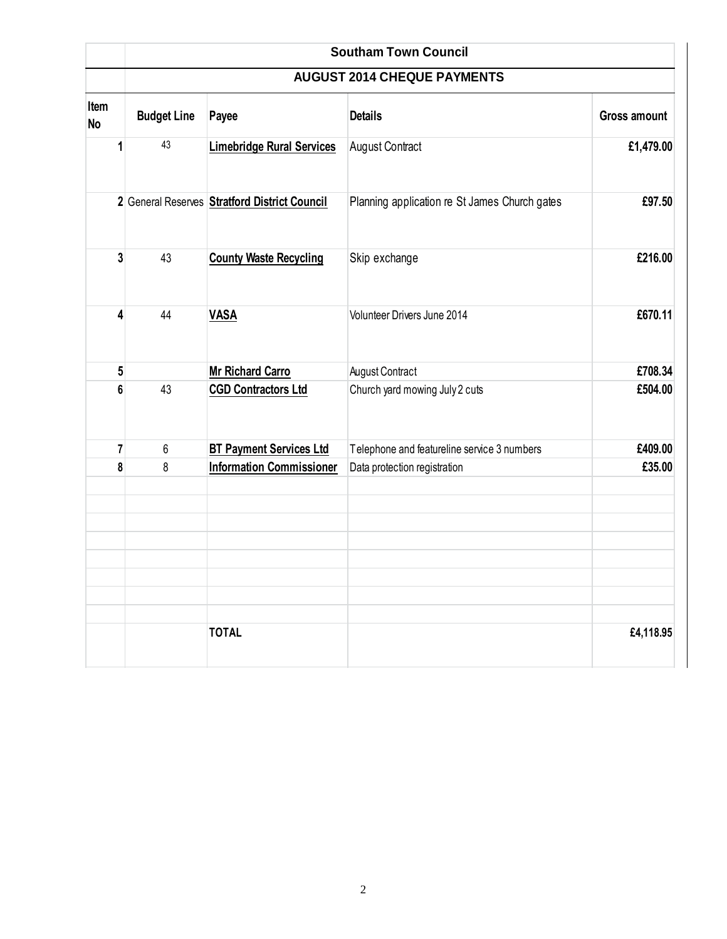|            |                                    | <b>Southam Town Council</b>                   |                                               |                     |  |  |  |  |
|------------|------------------------------------|-----------------------------------------------|-----------------------------------------------|---------------------|--|--|--|--|
|            | <b>AUGUST 2014 CHEQUE PAYMENTS</b> |                                               |                                               |                     |  |  |  |  |
| Item<br>No | <b>Budget Line</b>                 | Payee                                         | <b>Details</b>                                | <b>Gross amount</b> |  |  |  |  |
| 1          | 43                                 | <b>Limebridge Rural Services</b>              | <b>August Contract</b>                        | £1,479.00           |  |  |  |  |
|            |                                    | 2 General Reserves Stratford District Council | Planning application re St James Church gates | £97.50              |  |  |  |  |
| 3          | 43                                 | <b>County Waste Recycling</b>                 | Skip exchange                                 | £216.00             |  |  |  |  |
| 4          | 44                                 | <b>VASA</b>                                   | Volunteer Drivers June 2014                   | £670.11             |  |  |  |  |
| 5          |                                    | <b>Mr Richard Carro</b>                       | <b>August Contract</b>                        | £708.34             |  |  |  |  |
| 6          | 43                                 | <b>CGD Contractors Ltd</b>                    | Church yard mowing July 2 cuts                | £504.00             |  |  |  |  |
| 7          | $6\,$                              | <b>BT Payment Services Ltd</b>                | Telephone and featureline service 3 numbers   | £409.00             |  |  |  |  |
| 8          | 8                                  | <b>Information Commissioner</b>               | Data protection registration                  | £35.00              |  |  |  |  |
|            |                                    |                                               |                                               |                     |  |  |  |  |
|            |                                    | <b>TOTAL</b>                                  |                                               | £4,118.95           |  |  |  |  |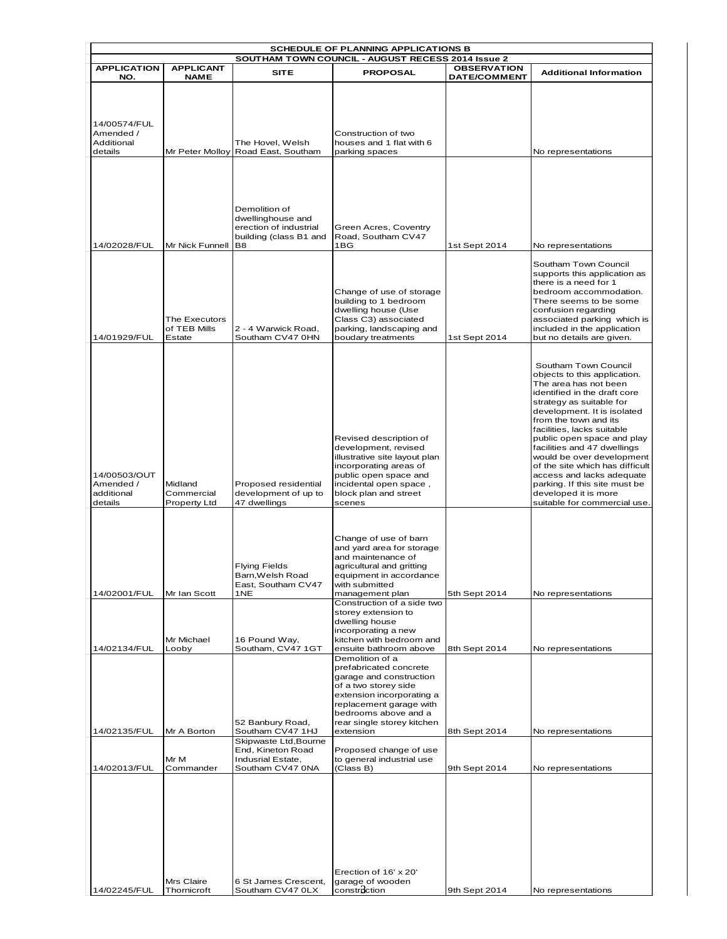| SCHEDULE OF PLANNING APPLICATIONS B<br>SOUTHAM TOWN COUNCIL - AUGUST RECESS 2014 Issue 2 |                                              |                                                                                                          |                                                                                                                                                                                                                         |                     |                                                                                                                                                                                                                                                                                                                                                                                                                                                                                    |  |  |  |
|------------------------------------------------------------------------------------------|----------------------------------------------|----------------------------------------------------------------------------------------------------------|-------------------------------------------------------------------------------------------------------------------------------------------------------------------------------------------------------------------------|---------------------|------------------------------------------------------------------------------------------------------------------------------------------------------------------------------------------------------------------------------------------------------------------------------------------------------------------------------------------------------------------------------------------------------------------------------------------------------------------------------------|--|--|--|
| <b>APPLICATION</b>                                                                       | <b>APPLICANT</b>                             | <b>SITE</b>                                                                                              | <b>PROPOSAL</b>                                                                                                                                                                                                         | <b>OBSERVATION</b>  | <b>Additional Information</b>                                                                                                                                                                                                                                                                                                                                                                                                                                                      |  |  |  |
| NO.                                                                                      | <b>NAME</b>                                  |                                                                                                          |                                                                                                                                                                                                                         | <b>DATE/COMMENT</b> |                                                                                                                                                                                                                                                                                                                                                                                                                                                                                    |  |  |  |
| 14/00574/FUL<br>Amended /<br>Additional<br>details                                       |                                              | The Hovel, Welsh<br>Mr Peter Molloy Road East, Southam                                                   | Construction of two<br>houses and 1 flat with 6<br>parking spaces                                                                                                                                                       |                     | No representations                                                                                                                                                                                                                                                                                                                                                                                                                                                                 |  |  |  |
| 14/02028/FUL                                                                             | Mr Nick Funnell                              | Demolition of<br>dwellinghouse and<br>erection of industrial<br>building (class B1 and<br>B <sub>8</sub> | Green Acres, Coventry<br>Road, Southam CV47<br>1BG                                                                                                                                                                      | 1st Sept 2014       | No representations                                                                                                                                                                                                                                                                                                                                                                                                                                                                 |  |  |  |
| 14/01929/FUL                                                                             | The Executors<br>of TEB Mills<br>Estate      | 2 - 4 Warwick Road,<br>Southam CV47 0HN                                                                  | Change of use of storage<br>building to 1 bedroom<br>dwelling house (Use<br>Class C3) associated<br>parking, landscaping and<br>boudary treatments                                                                      | 1st Sept 2014       | Southam Town Council<br>supports this application as<br>there is a need for 1<br>bedroom accommodation.<br>There seems to be some<br>confusion regarding<br>associated parking which is<br>included in the application<br>but no details are given.                                                                                                                                                                                                                                |  |  |  |
| 14/00503/OUT<br>Amended /<br>additional<br>details                                       | Midland<br>Commercial<br><b>Property Ltd</b> | Proposed residential<br>development of up to<br>47 dwellings                                             | Revised description of<br>development, revised<br>illustrative site layout plan<br>incorporating areas of<br>public open space and<br>incidental open space,<br>block plan and street<br>scenes                         |                     | Southam Town Council<br>objects to this application.<br>The area has not been<br>identified in the draft core<br>strategy as suitable for<br>development. It is isolated<br>from the town and its<br>facilities, lacks suitable<br>public open space and play<br>facilities and 47 dwellings<br>would be over development<br>of the site which has difficult<br>access and lacks adequate<br>parking. If this site must be<br>developed it is more<br>suitable for commercial use. |  |  |  |
| 14/02001/FUL                                                                             | Mr Ian Scott                                 | <b>Flying Fields</b><br>Barn,Welsh Road<br>East, Southam CV47<br>1NE                                     | Change of use of barn<br>and yard area for storage<br>and maintenance of<br>agricultural and gritting<br>equipment in accordance<br>with submitted<br>management plan                                                   | 5th Sept 2014       | No representations                                                                                                                                                                                                                                                                                                                                                                                                                                                                 |  |  |  |
| 14/02134/FUL                                                                             | Mr Michael<br>Looby                          | 16 Pound Way,<br>Southam, CV47 1GT                                                                       | Construction of a side two<br>storey extension to<br>dwelling house<br>incorporating a new<br>kitchen with bedroom and<br>ensuite bathroom above                                                                        | 8th Sept 2014       | No representations                                                                                                                                                                                                                                                                                                                                                                                                                                                                 |  |  |  |
| 14/02135/FUL                                                                             | Mr A Borton                                  | 52 Banbury Road,<br>Southam CV47 1HJ<br>Skipwaste Ltd, Bourne                                            | Demolition of a<br>prefabricated concrete<br>garage and construction<br>of a two storey side<br>extension incorporating a<br>replacement garage with<br>bedrooms above and a<br>rear single storey kitchen<br>extension | 8th Sept 2014       | No representations                                                                                                                                                                                                                                                                                                                                                                                                                                                                 |  |  |  |
| 14/02013/FUL                                                                             | Mr M<br>Commander                            | End, Kineton Road<br>Indusrial Estate,<br>Southam CV47 0NA                                               | Proposed change of use<br>to general industrial use<br>(Class B)                                                                                                                                                        | 9th Sept 2014       | No representations                                                                                                                                                                                                                                                                                                                                                                                                                                                                 |  |  |  |
|                                                                                          | Mrs Claire                                   | 6 St James Crescent,                                                                                     | Erection of 16' x 20'<br>garage of wooden                                                                                                                                                                               |                     |                                                                                                                                                                                                                                                                                                                                                                                                                                                                                    |  |  |  |
| 14/02245/FUL                                                                             | Thornicroft                                  | Southam CV47 0LX                                                                                         | constroction                                                                                                                                                                                                            | 9th Sept 2014       | No representations                                                                                                                                                                                                                                                                                                                                                                                                                                                                 |  |  |  |